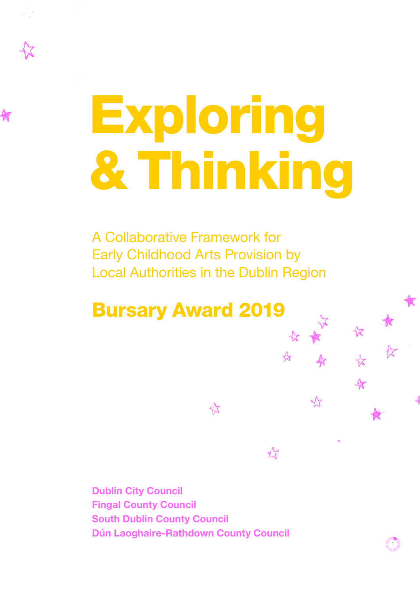# Exploring & Thinking

A Collaborative Framework for Early Childhood Arts Provision by Local Authorities in the Dublin Region

饮

Bursary Award 2019

**Dublin City Council Fingal County Council South Dublin County Council Dún Laoghaire-Rathdown County Council** 

11

 $\frac{1}{2}$ 

 $\chi^2$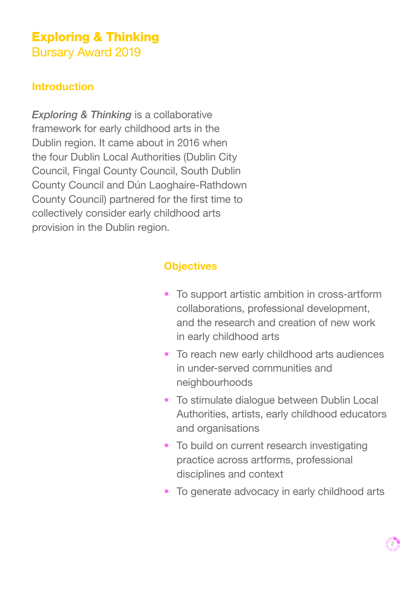# **Exploring & Thinking**

**Bursary Award 2019** 

# **Introduction**

*Exploring & Thinking* is a collaborative framework for early childhood arts in the Dublin region. It came about in 2016 when the four Dublin Local Authorities (Dublin City Council, Fingal County Council, South Dublin County Council and Dún Laoghaire-Rathdown County Council) partnered for the first time to collectively consider early childhood arts provision in the Dublin region.

#### **Objectives**

- To support artistic ambition in cross-artform collaborations, professional development, and the research and creation of new work in early childhood arts
- To reach new early childhood arts audiences in under-served communities and neighbourhoods
- To stimulate dialogue between Dublin Local Authorities, artists, early childhood educators and organisations
- To build on current research investigating practice across artforms, professional disciplines and context
- To generate advocacy in early childhood arts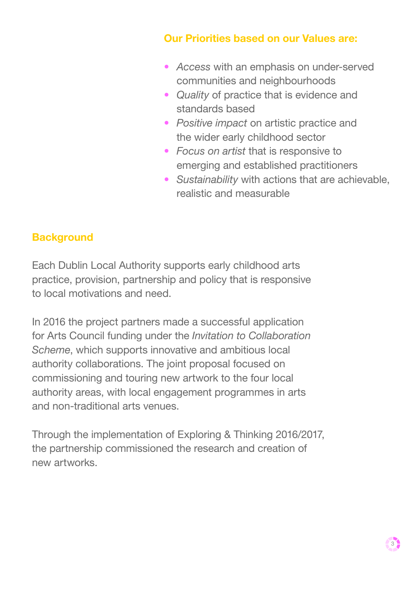# **Our Priorities based on our Values are:**

- *Access* with an emphasis on under-served communities and neighbourhoods
- *Quality* of practice that is evidence and standards based
- *Positive impact* on artistic practice and the wider early childhood sector
- *Focus on artist* that is responsive to emerging and established practitioners
- *Sustainability* with actions that are achievable, realistic and measurable

# **Background**

Each Dublin Local Authority supports early childhood arts practice, provision, partnership and policy that is responsive to local motivations and need.

In 2016 the project partners made a successful application for Arts Council funding under the *Invitation to Collaboration Scheme*, which supports innovative and ambitious local authority collaborations. The joint proposal focused on commissioning and touring new artwork to the four local authority areas, with local engagement programmes in arts and non-traditional arts venues.

Through the implementation of Exploring & Thinking 2016/2017, the partnership commissioned the research and creation of new artworks.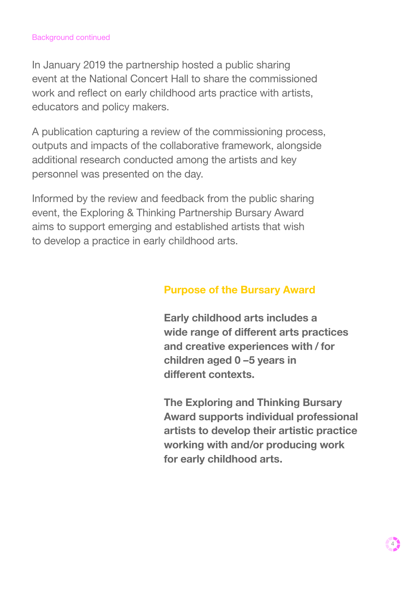#### Background continued

In January 2019 the partnership hosted a public sharing event at the National Concert Hall to share the commissioned work and reflect on early childhood arts practice with artists, educators and policy makers.

A publication capturing a review of the commissioning process, outputs and impacts of the collaborative framework, alongside additional research conducted among the artists and key personnel was presented on the day.

Informed by the review and feedback from the public sharing event, the Exploring & Thinking Partnership Bursary Award aims to support emerging and established artists that wish to develop a practice in early childhood arts.

#### **Purpose of the Bursary Award**

**Early childhood arts includes a wide range of different arts practices and creative experiences with / for children aged 0 –5 years in different contexts.**

**The Exploring and Thinking Bursary Award supports individual professional artists to develop their artistic practice working with and/or producing work for early childhood arts.**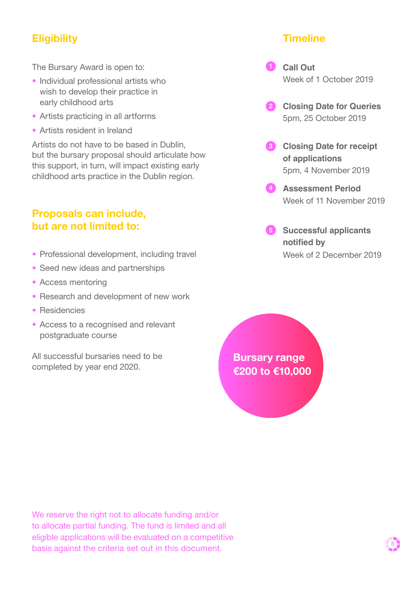# **Eligibility**

The Bursary Award is open to:

- Individual professional artists who wish to develop their practice in early childhood arts
- Artists practicing in all artforms
- Artists resident in Ireland

Artists do not have to be based in Dublin, but the bursary proposal should articulate how this support, in turn, will impact existing early childhood arts practice in the Dublin region.

#### **Proposals can include, but are not limited to:**

- Professional development, including travel
- Seed new ideas and partnerships
- Access mentoring
- Research and development of new work
- Residencies
- Access to a recognised and relevant postgraduate course

All successful bursaries need to be completed by year end 2020.

**Timeline**

**Call Out** Week of 1 October 2019

- **Closing Date for Queries 2** 5pm, 25 October 2019
- **Closing Date for receipt 3 of applications** 5pm, 4 November 2019
- **Assessment Period 4** Week of 11 November 2019
- **Successful applicants 5 notified by** Week of 2 December 2019

**Bursary range €200 to €10,000** 

We reserve the right not to allocate funding and/or to allocate partial funding. The fund is limited and all eligible applications will be evaluated on a competitive basis against the criteria set out in this document.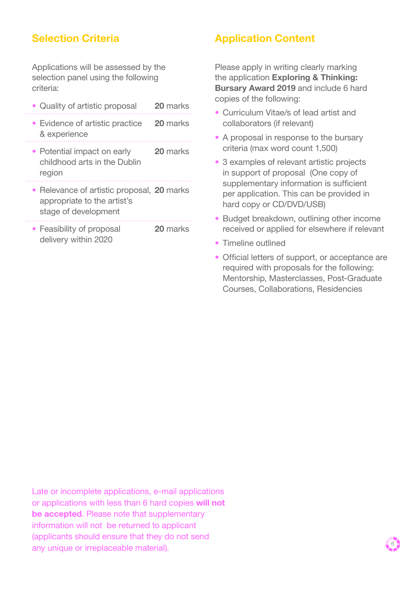# **Selection Criteria**

Applications will be assessed by the selection panel using the following criteria:

- Quality of artistic proposal **20** marks
- Evidence of artistic practice **20** marks & experience
- Potential impact on early **20** marks childhood arts in the Dublin region
- 
- Relevance of artistic proposal, **20** marks appropriate to the artist's stage of development
- Feasibility of proposal **20** marks delivery within 2020

#### **Application Content**

Please apply in writing clearly marking the application **Exploring & Thinking: Bursary Award 2019** and include 6 hard copies of the following:

- Curriculum Vitae/s of lead artist and collaborators (if relevant)
- A proposal in response to the bursary criteria (max word count 1,500)
- 3 examples of relevant artistic projects in support of proposal (One copy of supplementary information is sufficient per application. This can be provided in hard copy or CD/DVD/USB)
- Budget breakdown, outlining other income received or applied for elsewhere if relevant
- Timeline outlined
- Official letters of support, or acceptance are required with proposals for the following: Mentorship, Masterclasses, Post-Graduate Courses, Collaborations, Residencies

Late or incomplete applications, e-mail applications or applications with less than 6 hard copies **will not be accepted**. Please note that supplementary information will not be returned to applicant (applicants should ensure that they do not send any unique or irreplaceable material). <sup>6</sup>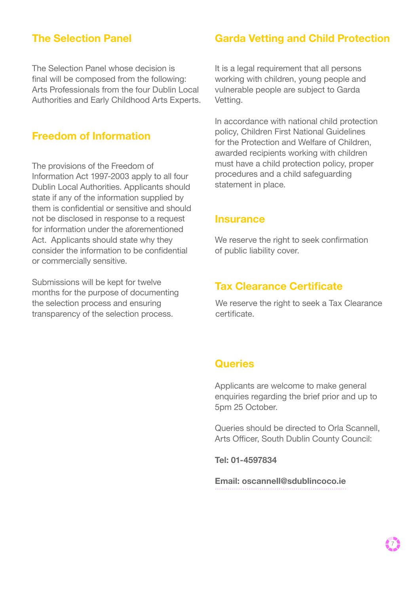#### **The Selection Panel**

The Selection Panel whose decision is final will be composed from the following: Arts Professionals from the four Dublin Local Authorities and Early Childhood Arts Experts.

#### **Freedom of Information**

The provisions of the Freedom of Information Act 1997-2003 apply to all four Dublin Local Authorities. Applicants should state if any of the information supplied by them is confidential or sensitive and should not be disclosed in response to a request for information under the aforementioned Act. Applicants should state why they consider the information to be confidential or commercially sensitive.

Submissions will be kept for twelve months for the purpose of documenting the selection process and ensuring transparency of the selection process.

#### **Garda Vetting and Child Protection**

It is a legal requirement that all persons working with children, young people and vulnerable people are subject to Garda Vetting.

In accordance with national child protection policy, Children First National Guidelines for the Protection and Welfare of Children, awarded recipients working with children must have a child protection policy, proper procedures and a child safeguarding statement in place.

#### **Insurance**

We reserve the right to seek confirmation of public liability cover.

#### **Tax Clearance Certificate**

We reserve the right to seek a Tax Clearance certificate.

#### **Queries**

Applicants are welcome to make general enquiries regarding the brief prior and up to 5pm 25 October.

Queries should be directed to Orla Scannell, Arts Officer, South Dublin County Council:

**Tel: 01-4597834**

**[Email: oscannell@sdublincoco.ie](mailto:mailto:oscannell%40sdublincoco.ie%20%0D?subject=)**